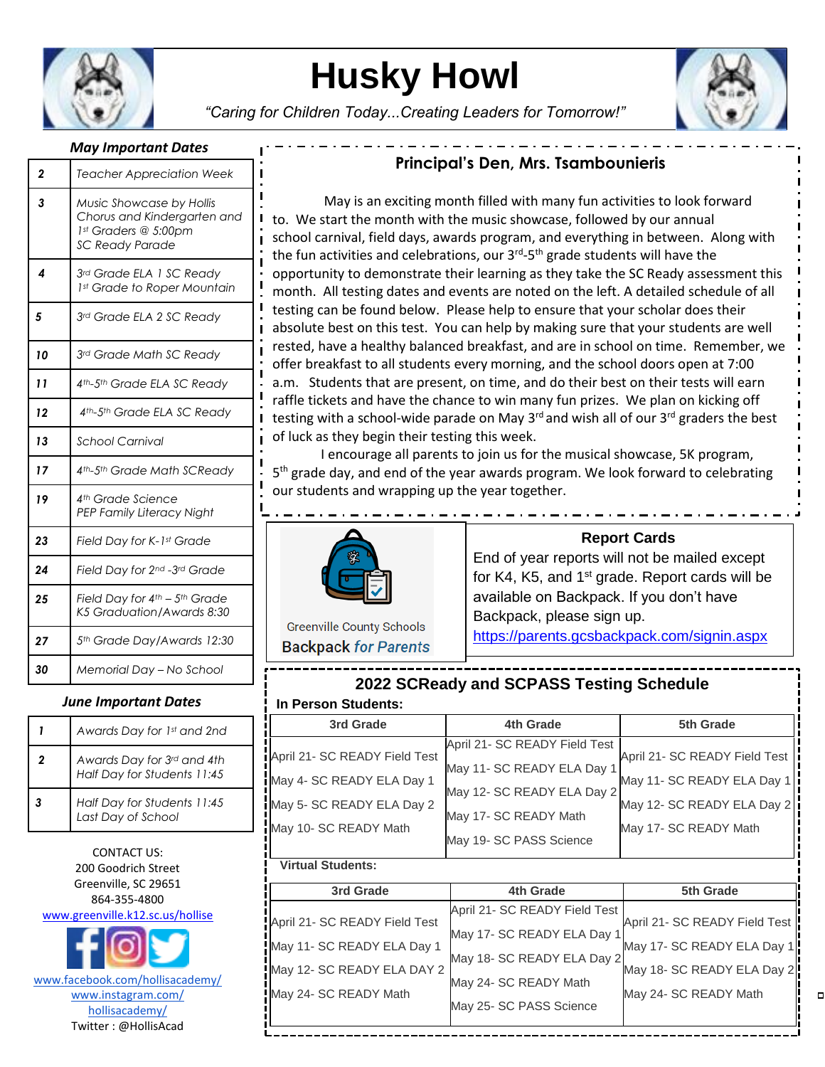

# **Husky Howl**

*"Caring for Children Today...Creating Leaders for Tomorrow!"*



#### *May Important Dates*

| 2  | <b>Teacher Appreciation Week</b>                                                                          |  |
|----|-----------------------------------------------------------------------------------------------------------|--|
| 3  | Music Showcase by Hollis<br>Chorus and Kindergarten and<br>1st Graders @ 5:00pm<br><b>SC Ready Parade</b> |  |
| 4  | 3rd Grade ELA 1 SC Ready<br>1st Grade to Roper Mountain                                                   |  |
| 5  | 3rd Grade ELA 2 SC Ready                                                                                  |  |
| 10 | 3rd Grade Math SC Ready                                                                                   |  |
| 11 | 4 <sup>th</sup> -5 <sup>th</sup> Grade ELA SC Ready                                                       |  |
| 12 | 4th-5th Grade ELA SC Ready                                                                                |  |
| 13 | <b>School Carnival</b>                                                                                    |  |
| 17 | 4th-5th Grade Math SCReady                                                                                |  |
| 19 | 4th Grade Science<br>PEP Family Literacy Night                                                            |  |
| 23 | Field Day for K-1st Grade                                                                                 |  |
| 24 | Field Day for 2nd -3rd Grade                                                                              |  |
| 25 | Field Day for $4^{th}$ – $5^{th}$ Grade<br>K5 Graduation/Awards 8:30                                      |  |
| 27 | 5th Grade Day/Awards 12:30                                                                                |  |
| 30 | Memorial Day - No School                                                                                  |  |

#### *June Important Dates*

|   | Awards Day for 1st and 2nd                                |
|---|-----------------------------------------------------------|
| 2 | Awards Day for 3rd and 4th<br>Half Day for Students 11:45 |
|   | Half Day for Students 11:45<br>Last Day of School         |

CONTACT US: 200 Goodrich Street Greenville, SC 29651 864-355-4800 [www.greenville.k12.sc.us/hollise](http://www.greenville.k12.sc.us/hollise)

www.facebook.com/hollisacademy/ www.instagram.com/ hollisacademy/ Twitter : @HollisAcad

## **Principal's Den, Mrs. Tsambounieris**

*4* school carnival, field days, awards program, and everything in between. Along with the fun activities and celebrations, our 3<sup>rd</sup>-5<sup>th</sup> grade students will have the month. All testing dates and events are noted on the left. A detailed schedule of all May is an exciting month filled with many fun activities to look forward to. We start the month with the music showcase, followed by our annual opportunity to demonstrate their learning as they take the SC Ready assessment this testing can be found below. Please help to ensure that your scholar does their absolute best on this test. You can help by making sure that your students are well rested, have a healthy balanced breakfast, and are in school on time. Remember, we offer breakfast to all students every morning, and the school doors open at 7:00 a.m. Students that are present, on time, and do their best on their tests will earn raffle tickets and have the chance to win many fun prizes. We plan on kicking off testing with a school-wide parade on May  $3^{rd}$  and wish all of our  $3^{rd}$  graders the best of luck as they begin their testing this week.

I encourage all parents to join us for the musical showcase, 5K program, 5<sup>th</sup> grade day, and end of the year awards program. We look forward to celebrating our students and wrapping up the year together.



**Report Cards**

End of year reports will not be mailed except for K4, K5, and  $1<sup>st</sup>$  grade. Report cards will be available on Backpack. If you don't have Backpack, please sign up. <https://parents.gcsbackpack.com/signin.aspx>

**Greenville County Schools Backpack for Parents** 

### **2022 SCReady and SCPASS Testing Schedule In Person Students:**

| 3rd Grade                                           | 4th Grade                                                   | 5th Grade                                           |  |  |  |
|-----------------------------------------------------|-------------------------------------------------------------|-----------------------------------------------------|--|--|--|
| April 21- SC READY Field Test                       | April 21- SC READY Field Test                               | April 21- SC READY Field Test                       |  |  |  |
| May 4- SC READY ELA Day 1                           | May 11- SC READY ELA Day 1<br>May 12- SC READY ELA Day 2    | May 11- SC READY ELA Day 1                          |  |  |  |
| May 5- SC READY ELA Day 2                           | May 17- SC READY Math                                       | May 12- SC READY ELA Day 2                          |  |  |  |
| May 10- SC READY Math                               | May 19- SC PASS Science                                     | May 17- SC READY Math                               |  |  |  |
| <b>Virtual Students:</b>                            |                                                             |                                                     |  |  |  |
| 3rd Grade                                           | 4th Grade                                                   | 5th Grade                                           |  |  |  |
| April 21- SC READY Field Test                       | April 21- SC READY Field Test<br>May 17- SC READY ELA Day 1 | April 21- SC READY Field Test                       |  |  |  |
| May 11- SC READY ELA Day 1                          | May 18- SC READY ELA Day 2                                  | May 17- SC READY ELA Day 1                          |  |  |  |
| May 12- SC READY ELA DAY 2<br>May 24- SC READY Math | May 24- SC READY Math                                       | May 18- SC READY ELA Day 2<br>May 24- SC READY Math |  |  |  |
|                                                     | May 25- SC PASS Science                                     |                                                     |  |  |  |